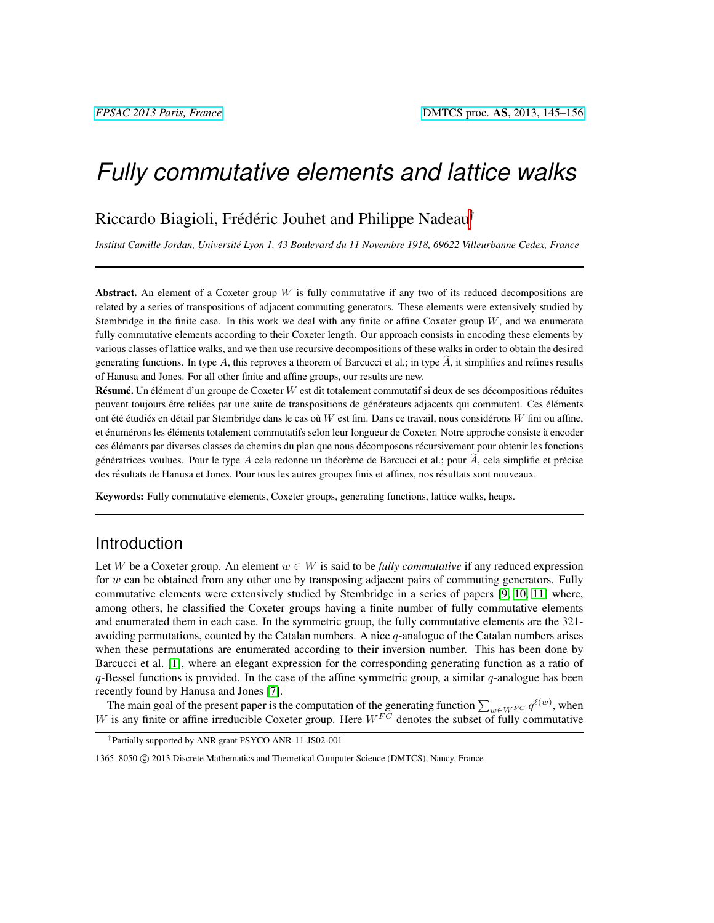# *Fully commutative elements and lattice walks*

## Riccardo Biagioli, Frédéric Jouhet and Philippe Nadeau<sup>†</sup>

*Institut Camille Jordan, Universite Lyon 1, 43 Boulevard du 11 Novembre 1918, 69622 Villeurbanne Cedex, France ´*

Abstract. An element of a Coxeter group  $W$  is fully commutative if any two of its reduced decompositions are related by a series of transpositions of adjacent commuting generators. These elements were extensively studied by Stembridge in the finite case. In this work we deal with any finite or affine Coxeter group  $W$ , and we enumerate fully commutative elements according to their Coxeter length. Our approach consists in encoding these elements by various classes of lattice walks, and we then use recursive decompositions of these walks in order to obtain the desired generating functions. In type A, this reproves a theorem of Barcucci et al.; in type  $A$ , it simplifies and refines results of Hanusa and Jones. For all other finite and affine groups, our results are new.

**Résumé.** Un élément d'un groupe de Coxeter  $W$  est dit totalement commutatif si deux de ses décompositions réduites peuvent toujours être reliées par une suite de transpositions de générateurs adjacents qui commutent. Ces éléments ont été étudiés en détail par Stembridge dans le cas où W est fini. Dans ce travail, nous considérons W fini ou affine, et énumérons les éléments totalement commutatifs selon leur longueur de Coxeter. Notre approche consiste à encoder ces éléments par diverses classes de chemins du plan que nous décomposons récursivement pour obtenir les fonctions génératrices voulues. Pour le type  $A$  cela redonne un théorème de Barcucci et al.; pour  $\overline{A}$ , cela simplifie et précise des résultats de Hanusa et Jones. Pour tous les autres groupes finis et affines, nos résultats sont nouveaux.

Keywords: Fully commutative elements, Coxeter groups, generating functions, lattice walks, heaps.

## Introduction

Let W be a Coxeter group. An element  $w \in W$  is said to be *fully commutative* if any reduced expression for w can be obtained from any other one by transposing adjacent pairs of commuting generators. Fully commutative elements were extensively studied by Stembridge in a series of papers [\[9,](#page-11-0) [10,](#page-11-1) [11\]](#page-11-2) where, among others, he classified the Coxeter groups having a finite number of fully commutative elements and enumerated them in each case. In the symmetric group, the fully commutative elements are the 321 avoiding permutations, counted by the Catalan numbers. A nice  $q$ -analogue of the Catalan numbers arises when these permutations are enumerated according to their inversion number. This has been done by Barcucci et al. [\[1\]](#page-11-3), where an elegant expression for the corresponding generating function as a ratio of  $q$ -Bessel functions is provided. In the case of the affine symmetric group, a similar  $q$ -analogue has been recently found by Hanusa and Jones [\[7\]](#page-11-4).

The main goal of the present paper is the computation of the generating function  $\sum_{w \in W^{FC}} q^{\ell(w)}$ , when W is any finite or affine irreducible Coxeter group. Here  $W^{FC}$  denotes the subset of fully commutative

<sup>†</sup>Partially supported by ANR grant PSYCO ANR-11-JS02-001

<sup>1365–8050 © 2013</sup> Discrete Mathematics and Theoretical Computer Science (DMTCS), Nancy, France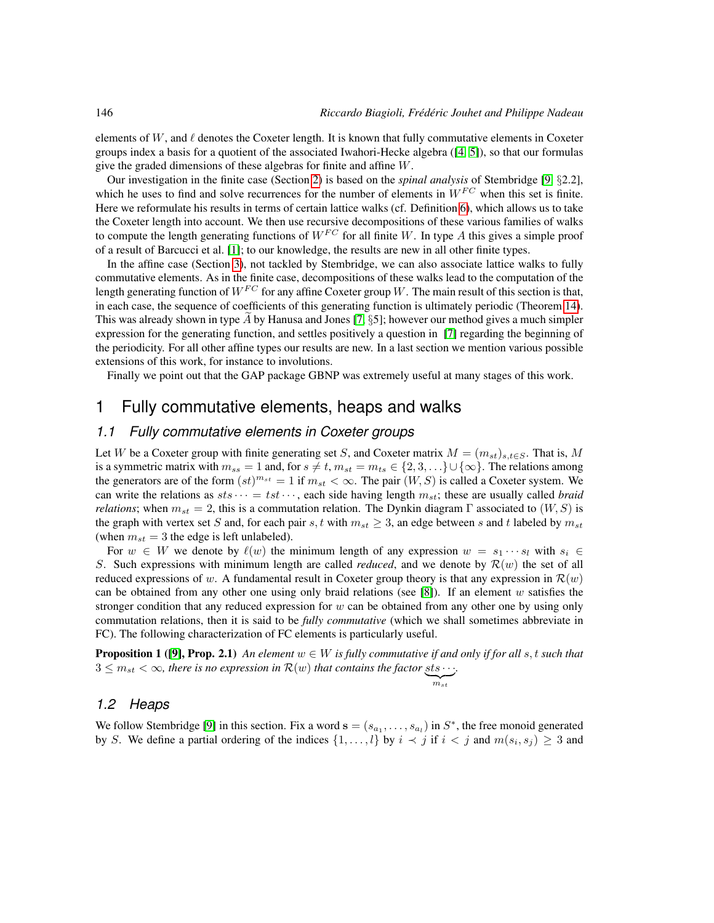elements of W, and  $\ell$  denotes the Coxeter length. It is known that fully commutative elements in Coxeter groups index a basis for a quotient of the associated Iwahori-Hecke algebra ([\[4,](#page-11-5) [5\]](#page-11-6)), so that our formulas give the graded dimensions of these algebras for finite and affine W.

Our investigation in the finite case (Section [2\)](#page-4-0) is based on the *spinal analysis* of Stembridge [\[9,](#page-11-0) §2.2], which he uses to find and solve recurrences for the number of elements in  $W^{FC}$  when this set is finite. Here we reformulate his results in terms of certain lattice walks (cf. Definition [6\)](#page-3-0), which allows us to take the Coxeter length into account. We then use recursive decompositions of these various families of walks to compute the length generating functions of  $W^{FC}$  for all finite W. In type A this gives a simple proof of a result of Barcucci et al. [\[1\]](#page-11-3); to our knowledge, the results are new in all other finite types.

In the affine case (Section [3\)](#page-7-0), not tackled by Stembridge, we can also associate lattice walks to fully commutative elements. As in the finite case, decompositions of these walks lead to the computation of the length generating function of  $W^{FC}$  for any affine Coxeter group W. The main result of this section is that, in each case, the sequence of coefficients of this generating function is ultimately periodic (Theorem [14\)](#page-7-1). This was already shown in type A by Hanusa and Jones  $[7, \S5]$  $[7, \S5]$ ; however our method gives a much simpler expression for the generating function, and settles positively a question in [\[7\]](#page-11-4) regarding the beginning of the periodicity. For all other affine types our results are new. In a last section we mention various possible extensions of this work, for instance to involutions.

Finally we point out that the GAP package GBNP was extremely useful at many stages of this work.

## 1 Fully commutative elements, heaps and walks

### *1.1 Fully commutative elements in Coxeter groups*

Let W be a Coxeter group with finite generating set S, and Coxeter matrix  $M = (m_{st})_{s,t \in S}$ . That is, M is a symmetric matrix with  $m_{ss} = 1$  and, for  $s \neq t$ ,  $m_{st} = m_{ts} \in \{2, 3, \ldots\} \cup \{\infty\}$ . The relations among the generators are of the form  $(st)^{m_{st}} = 1$  if  $m_{st} < \infty$ . The pair  $(W, S)$  is called a Coxeter system. We can write the relations as  $sts \cdots = ts \cdots$ , each side having length  $m_{st}$ ; these are usually called *braid relations*; when  $m_{st} = 2$ , this is a commutation relation. The Dynkin diagram Γ associated to  $(W, S)$  is the graph with vertex set S and, for each pair s, t with  $m_{st} \geq 3$ , an edge between s and t labeled by  $m_{st}$ (when  $m_{st} = 3$  the edge is left unlabeled).

For  $w \in W$  we denote by  $\ell(w)$  the minimum length of any expression  $w = s_1 \cdots s_l$  with  $s_i \in$ S. Such expressions with minimum length are called *reduced*, and we denote by  $\mathcal{R}(w)$  the set of all reduced expressions of w. A fundamental result in Coxeter group theory is that any expression in  $\mathcal{R}(w)$ can be obtained from any other one using only braid relations (see [\[8\]](#page-11-7)). If an element w satisfies the stronger condition that any reduced expression for  $w$  can be obtained from any other one by using only commutation relations, then it is said to be *fully commutative* (which we shall sometimes abbreviate in FC). The following characterization of FC elements is particularly useful.

**Proposition 1** ([\[9\]](#page-11-0), Prop. 2.1) *An element*  $w \in W$  *is fully commutative if and only if for all s, t such that*  $3 \leq m_{st} < \infty$ , there is no expression in  $\mathcal{R}(w)$  that contains the factor sts  $\cdots$ .

<span id="page-1-0"></span>
$$
\underbrace{m_{st}}
$$

#### *1.2 Heaps*

We follow Stembridge [\[9\]](#page-11-0) in this section. Fix a word  $\mathbf{s} = (s_{a_1}, \dots, s_{a_l})$  in  $S^*$ , the free monoid generated by S. We define a partial ordering of the indices  $\{1, \ldots, l\}$  by  $i \prec j$  if  $i < j$  and  $m(s_i, s_j) \geq 3$  and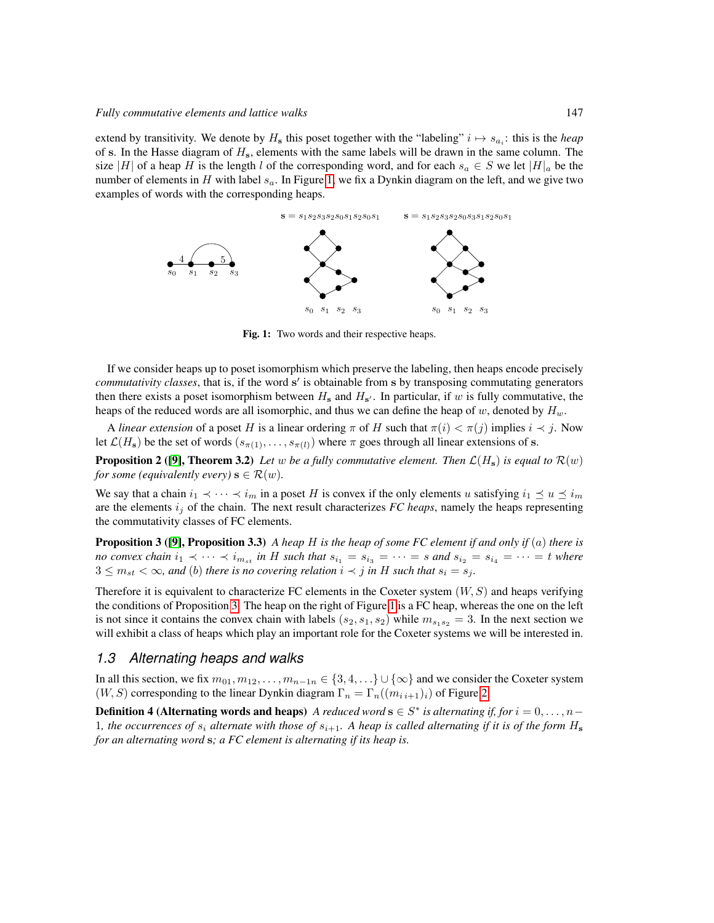extend by transitivity. We denote by  $H_s$  this poset together with the "labeling"  $i \mapsto s_{a_i}$ : this is the *heap* of s. In the Hasse diagram of  $H_s$ , elements with the same labels will be drawn in the same column. The size |H| of a heap H is the length l of the corresponding word, and for each  $s_a \in S$  we let  $|H|_a$  be the number of elements in H with label  $s_a$ . In Figure [1,](#page-2-0) we fix a Dynkin diagram on the left, and we give two examples of words with the corresponding heaps.



<span id="page-2-0"></span>Fig. 1: Two words and their respective heaps.

If we consider heaps up to poset isomorphism which preserve the labeling, then heaps encode precisely *commutativity classes*, that is, if the word s' is obtainable from s by transposing commutating generators then there exists a poset isomorphism between  $H_s$  and  $H_{s'}$ . In particular, if w is fully commutative, the heaps of the reduced words are all isomorphic, and thus we can define the heap of w, denoted by  $H_w$ .

A *linear extension* of a poset H is a linear ordering  $\pi$  of H such that  $\pi(i) < \pi(j)$  implies  $i \prec j$ . Now let  $\mathcal{L}(H_{\mathbf{s}})$  be the set of words  $(s_{\pi(1)}, \ldots, s_{\pi(l)})$  where  $\pi$  goes through all linear extensions of s.

**Proposition 2 ([\[9\]](#page-11-0), Theorem 3.2)** Let w be a fully commutative element. Then  $\mathcal{L}(H_s)$  is equal to  $\mathcal{R}(w)$ *for some (equivalently every)*  $\mathbf{s} \in \mathcal{R}(w)$ *.* 

We say that a chain  $i_1 \prec \cdots \prec i_m$  in a poset H is convex if the only elements u satisfying  $i_1 \preceq u \preceq i_m$ are the elements  $i_j$  of the chain. The next result characterizes *FC heaps*, namely the heaps representing the commutativity classes of FC elements.

<span id="page-2-1"></span>**Proposition 3 ([\[9\]](#page-11-0), Proposition 3.3)** *A heap H is the heap of some FC element if and only if (a) there is no convex chain*  $i_1 \prec \cdots \prec i_{m_{st}}$  *in* H such that  $s_{i_1} = s_{i_3} = \cdots = s$  and  $s_{i_2} = s_{i_4} = \cdots = t$  where  $3 \leq m_{st} < \infty$ , and (b) there is no covering relation  $i \prec j$  in H such that  $s_i = s_j$ .

Therefore it is equivalent to characterize FC elements in the Coxeter system  $(W, S)$  and heaps verifying the conditions of Proposition [3.](#page-2-1) The heap on the right of Figure [1](#page-2-0) is a FC heap, whereas the one on the left is not since it contains the convex chain with labels  $(s_2, s_1, s_2)$  while  $m_{s_1 s_2} = 3$ . In the next section we will exhibit a class of heaps which play an important role for the Coxeter systems we will be interested in.

#### <span id="page-2-2"></span>*1.3 Alternating heaps and walks*

<span id="page-2-3"></span>In all this section, we fix  $m_{01}, m_{12}, \ldots, m_{n-1n} \in \{3, 4, \ldots\} \cup \{\infty\}$  and we consider the Coxeter system  $(W, S)$  corresponding to the linear Dynkin diagram  $\Gamma_n = \Gamma_n((m_{i,i+1})_i)$  of Figure [2.](#page-3-1)

**Definition 4 (Alternating words and heaps)** *A reduced word*  $\mathbf{s} \in S^*$  *is alternating if, for*  $i = 0, \ldots, n-1$ 1, the occurrences of  $s_i$  alternate with those of  $s_{i+1}$ . A heap is called alternating if it is of the form  $H_s$ *for an alternating word* s*; a FC element is alternating if its heap is.*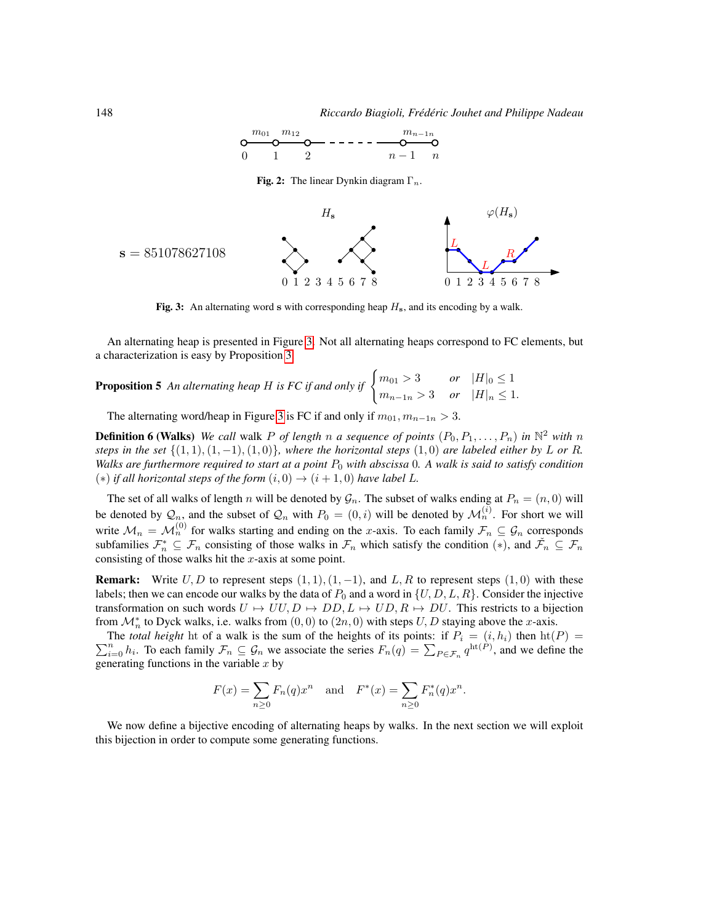

<span id="page-3-1"></span>**Fig. 2:** The linear Dynkin diagram  $\Gamma_n$ .



<span id="page-3-2"></span>Fig. 3: An alternating word s with corresponding heap  $H_s$ , and its encoding by a walk.

An alternating heap is presented in Figure [3.](#page-3-2) Not all alternating heaps correspond to FC elements, but a characterization is easy by Proposition [3.](#page-2-1)

<span id="page-3-3"></span>**Proposition 5** An alternating heap H is FC if and only if  $\begin{cases} m_{01} > 3 & or \ H|_{0} \leq 1 \end{cases}$  $m_{n-1 n} > 3$  *or*  $|H|_n \leq 1$ .

The alternating word/heap in Figure [3](#page-3-2) is FC if and only if  $m_{01}, m_{n-1n}$ 

<span id="page-3-0"></span>**Definition 6 (Walks)** We call walk P of length n a sequence of points  $(P_0, P_1, \ldots, P_n)$  in  $\mathbb{N}^2$  with n *steps in the set*  $\{(1, 1), (1, -1), (1, 0)\}$ *, where the horizontal steps*  $(1, 0)$  *are labeled either by* L *or* R. *Walks are furthermore required to start at a point*  $P_0$  *with abscissa* 0*. A walk is said to satisfy condition*  $(*)$  *if all horizontal steps of the form*  $(i, 0)$  →  $(i + 1, 0)$  *have label L.* 

The set of all walks of length n will be denoted by  $\mathcal{G}_n$ . The subset of walks ending at  $P_n = (n, 0)$  will be denoted by  $\mathcal{Q}_n$ , and the subset of  $\mathcal{Q}_n$  with  $P_0 = (0, i)$  will be denoted by  $\mathcal{M}_n^{(i)}$ . For short we will write  $\mathcal{M}_n = \mathcal{M}_n^{(0)}$  for walks starting and ending on the x-axis. To each family  $\mathcal{F}_n \subseteq \mathcal{G}_n$  corresponds subfamilies  $\mathcal{F}_n^* \subseteq \mathcal{F}_n$  consisting of those walks in  $\mathcal{F}_n$  which satisfy the condition  $(*)$ , and  $\check{\mathcal{F}}_n \subseteq \mathcal{F}_n$ consisting of those walks hit the  $x$ -axis at some point.

**Remark:** Write  $U, D$  to represent steps  $(1, 1), (1, -1)$ , and L, R to represent steps  $(1, 0)$  with these labels; then we can encode our walks by the data of  $P_0$  and a word in  $\{U, D, L, R\}$ . Consider the injective transformation on such words  $U \rightarrow UU, D \rightarrow DD, L \rightarrow UD, R \rightarrow DU$ . This restricts to a bijection from  $\mathcal{M}_n^*$  to Dyck walks, i.e. walks from  $(0, 0)$  to  $(2n, 0)$  with steps  $U, D$  staying above the x-axis.

 $\sum$ The *total height* ht of a walk is the sum of the heights of its points: if  $P_i = (i, h_i)$  then  $\text{ht}(P) = \sum_{i=0}^n h_i$ . To each family  $\mathcal{F}_n \subseteq \mathcal{G}_n$  we associate the series  $F_n(q) = \sum_{P \in \mathcal{F}_n} q^{\text{ht}(P)}$ , and we define t generating functions in the variable  $x$  by

$$
F(x) = \sum_{n\geq 0} F_n(q)x^n
$$
 and  $F^*(x) = \sum_{n\geq 0} F_n^*(q)x^n$ .

We now define a bijective encoding of alternating heaps by walks. In the next section we will exploit this bijection in order to compute some generating functions.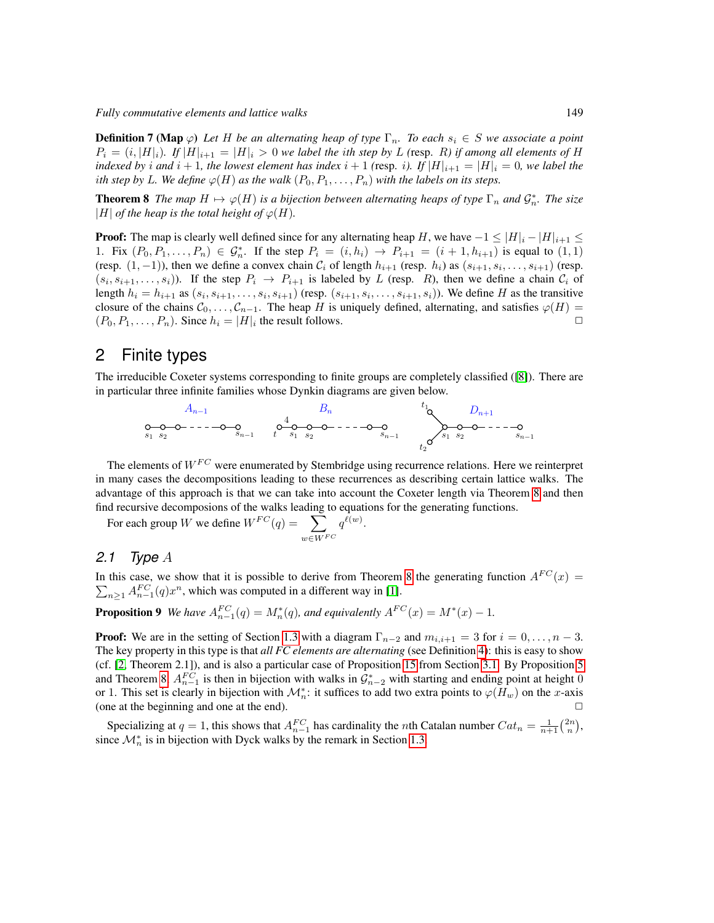*Fully commutative elements and lattice walks* 149

**Definition 7 (Map**  $\varphi$ ) Let H be an alternating heap of type  $\Gamma_n$ . To each  $s_i \in S$  we associate a point  $P_i = (i, |H|_i)$ *. If*  $|H|_{i+1} = |H|_i > 0$  we label the ith step by L (resp. R) if among all elements of H *indexed by i* and *i* + 1*, the lowest element has index*  $i + 1$  (resp. *i*). If  $|H|_{i+1} = |H|_i = 0$ *, we label the i*th step by L. We define  $\varphi(H)$  as the walk  $(P_0, P_1, \ldots, P_n)$  with the labels on its steps.

<span id="page-4-1"></span>**Theorem 8** *The map*  $H \mapsto \varphi(H)$  *is a bijection between alternating heaps of type*  $\Gamma_n$  *and*  $\mathcal{G}_n^*$ *. The size* |H| *of the heap is the total height of*  $\varphi(H)$ *.* 

**Proof:** The map is clearly well defined since for any alternating heap H, we have  $-1 \leq |H|_i - |H|_{i+1} \leq$ 1. Fix  $(P_0, P_1, ..., P_n) \in G_n^*$ . If the step  $P_i = (i, h_i) \to P_{i+1} = (i + 1, h_{i+1})$  is equal to  $(1, 1)$ (resp.  $(1, -1)$ ), then we define a convex chain  $C_i$  of length  $h_{i+1}$  (resp.  $h_i$ ) as  $(s_{i+1}, s_i, \ldots, s_{i+1})$  (resp.  $(s_i, s_{i+1}, \ldots, s_i)$ ). If the step  $P_i \rightarrow P_{i+1}$  is labeled by L (resp. R), then we define a chain  $C_i$  of length  $h_i = h_{i+1}$  as  $(s_i, s_{i+1}, \ldots, s_i, s_{i+1})$  (resp.  $(s_{i+1}, s_i, \ldots, s_{i+1}, s_i)$ ). We define H as the transitive closure of the chains  $C_0, \ldots, C_{n-1}$ . The heap H is uniquely defined, alternating, and satisfies  $\varphi(H) = (P_0, P_1, \ldots, P_n)$ . Since  $h_i = |H|_i$  the result follows  $(P_0, P_1, \ldots, P_n)$ . Since  $h_i = |H|_i$  the result follows.

## <span id="page-4-0"></span>2 Finite types

The irreducible Coxeter systems corresponding to finite groups are completely classified ([\[8\]](#page-11-7)). There are in particular three infinite families whose Dynkin diagrams are given below.



The elements of  $W^{FC}$  were enumerated by Stembridge using recurrence relations. Here we reinterpret in many cases the decompositions leading to these recurrences as describing certain lattice walks. The advantage of this approach is that we can take into account the Coxeter length via Theorem [8](#page-4-1) and then find recursive decomposions of the walks leading to equations for the generating functions.

For each group W we define  $W^{FC}(q) = \sum$  $w \in W^{FC}$  $q^{\ell(w)}.$ 

### *2.1 Type* A

In this case, we show that it is possible to derive from Theorem [8](#page-4-1) the generating function  $A^{FC}(x)$  =  $\sum_{n\geq 1} A_{n-1}^{FC}(q) x^n$ , which was computed in a different way in [\[1\]](#page-11-3).

<span id="page-4-2"></span>**Proposition 9** We have  $A_{n-1}^{FC}(q) = M_n^*(q)$ , and equivalently  $A^{FC}(x) = M^*(x) - 1$ .

**Proof:** We are in the setting of Section [1.3](#page-2-2) with a diagram  $\Gamma_{n-2}$  and  $m_{i,i+1} = 3$  for  $i = 0, \ldots, n-3$ . The key property in this type is that *all FC elements are alternating* (see Definition [4\)](#page-2-3): this is easy to show (cf. [\[2,](#page-11-8) Theorem 2.1]), and is also a particular case of Proposition [15](#page-7-2) from Section [3.1.](#page-7-3) By Proposition [5](#page-3-3) and Theorem [8,](#page-4-1)  $A_{n-1}^{FC}$  is then in bijection with walks in  $\mathcal{G}_{n-2}^*$  with starting and ending point at height 0 or 1. This set is clearly in bijection with  $\mathcal{M}_n^*$ : it suffices to add two extra points to  $\varphi(H_w)$  on the x-axis (one at the beginning and one at the end).

<span id="page-4-3"></span>Specializing at  $q = 1$ , this shows that  $A_{n-1}^{FC}$  has cardinality the *n*th Catalan number  $Cat_n = \frac{1}{n+1} {2n \choose n}$ , since  $\mathcal{M}_n^*$  is in bijection with Dyck walks by the remark in Section [1.3.](#page-2-2)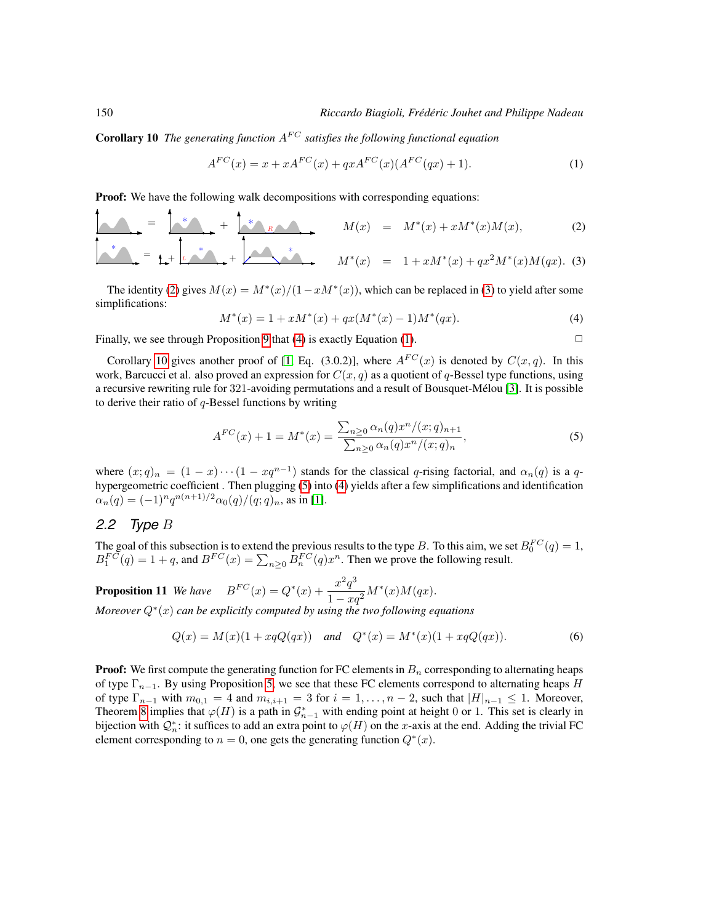**Corollary 10** *The generating function*  $A^{FC}$  *satisfies the following functional equation* 

<span id="page-5-2"></span>
$$
A^{FC}(x) = x + xA^{FC}(x) + qxA^{FC}(x)(A^{FC}(qx) + 1).
$$
 (1)

**Proof:** We have the following walk decompositions with corresponding equations:

$$
M(x) = M^*(x) + xM^*(x)M(x),
$$
\n
$$
M^*(x) = 1 + xM^*(x) + qx^2M^*(x)M(qx).
$$
\n(2)

The identity [\(2\)](#page-5-0) gives  $M(x) = M^*(x)/(1 - xM^*(x))$ , which can be replaced in [\(3\)](#page-5-0) to yield after some simplifications:

<span id="page-5-1"></span><span id="page-5-0"></span>
$$
M^*(x) = 1 + xM^*(x) + qx(M^*(x) - 1)M^*(qx).
$$
\n(4)

Finally, we see through Proposition [9](#page-4-2) that [\(4\)](#page-5-1) is exactly Equation [\(1\)](#page-5-2).  $\Box$ 

Corollary [10](#page-4-3) gives another proof of [\[1,](#page-11-3) Eq. (3.0.2)], where  $A^{FC}(x)$  is denoted by  $C(x, q)$ . In this work, Barcucci et al. also proved an expression for  $C(x, q)$  as a quotient of q-Bessel type functions, using a recursive rewriting rule for 321-avoiding permutations and a result of Bousquet-Melou [\[3\]](#page-11-9). It is possible ´ to derive their ratio of  $q$ -Bessel functions by writing

<span id="page-5-3"></span>
$$
A^{FC}(x) + 1 = M^*(x) = \frac{\sum_{n\geq 0} \alpha_n(q) x^n / (x; q)_{n+1}}{\sum_{n\geq 0} \alpha_n(q) x^n / (x; q)_n},\tag{5}
$$

where  $(x;q)_n = (1-x)\cdots(1-xq^{n-1})$  stands for the classical q-rising factorial, and  $\alpha_n(q)$  is a qhypergeometric coefficient . Then plugging [\(5\)](#page-5-3) into [\(4\)](#page-5-1) yields after a few simplifications and identification  $\alpha_n(q) = (-1)^n q^{n(n+1)/2} \alpha_0(q)/(q;q)_n$ , as in [\[1\]](#page-11-3).

#### *2.2 Type* B

The goal of this subsection is to extend the previous results to the type B. To this aim, we set  $B_0^{FC}(q) = 1$ ,  $B_1^{FC}(q) = 1 + q$ , and  $B^{FC}(x) = \sum_{n \geq 0} B_n^{FC}(q) x^n$ . Then we prove the following result.

<span id="page-5-5"></span>**Proposition 11** We have  $B^{FC}(x) = Q^*(x) + \frac{x^2 q^3}{4}$  $\frac{x}{1-xq^2}M^*(x)M(qx).$ 

*Moreover* Q<sup>∗</sup> (x) *can be explicitly computed by using the two following equations*

<span id="page-5-4"></span>
$$
Q(x) = M(x)(1 + xqQ(qx)) \quad \text{and} \quad Q^*(x) = M^*(x)(1 + xqQ(qx)). \tag{6}
$$

**Proof:** We first compute the generating function for FC elements in  $B_n$  corresponding to alternating heaps of type  $\Gamma_{n-1}$ . By using Proposition [5,](#page-3-3) we see that these FC elements correspond to alternating heaps H of type  $\Gamma_{n-1}$  with  $m_{0,1} = 4$  and  $m_{i,i+1} = 3$  for  $i = 1, \ldots, n-2$ , such that  $|H|_{n-1} \leq 1$ . Moreover, Theorem [8](#page-4-1) implies that  $\varphi(H)$  is a path in  $\mathcal{G}_{n-1}^*$  with ending point at height 0 or 1. This set is clearly in bijection with  $Q_n^*$ : it suffices to add an extra point to  $\varphi(H)$  on the x-axis at the end. Adding the trivial FC element corresponding to  $n = 0$ , one gets the generating function  $Q^*(x)$ .

 $\mathbf{A}$ 

 $\blacktriangle$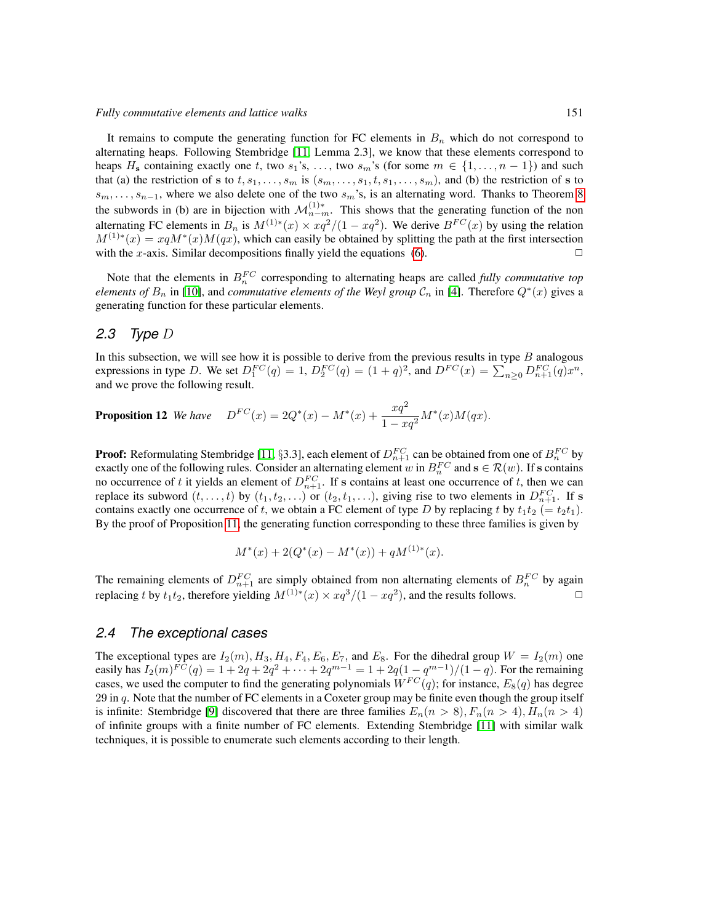It remains to compute the generating function for FC elements in  $B_n$  which do not correspond to alternating heaps. Following Stembridge [\[11,](#page-11-2) Lemma 2.3], we know that these elements correspond to heaps  $H_s$  containing exactly one t, two  $s_1$ 's, ..., two  $s_m$ 's (for some  $m \in \{1, \ldots, n-1\}$ ) and such that (a) the restriction of s to t,  $s_1, \ldots, s_m$  is  $(s_m, \ldots, s_1, t, s_1, \ldots, s_m)$ , and (b) the restriction of s to  $s_m, \ldots, s_{n-1}$ , where we also delete one of the two  $s_m$ 's, is an alternating word. Thanks to Theorem [8](#page-4-1) the subwords in (b) are in bijection with  $\mathcal{M}_{n-m}^{(1)*}$ . This shows that the generating function of the non alternating FC elements in  $B_n$  is  $M^{(1)*}(x) \times xq^2/(1-xq^2)$ . We derive  $B^{FC}(x)$  by using the relation  $M^{(1)*}(x) = xqM^*(x)M(qx)$ , which can easily be obtained by splitting the path at the first intersection with the x-axis. Similar decompositions finally yield the equations [\(6\)](#page-5-4).  $\Box$ 

Note that the elements in  $B_n^{FC}$  corresponding to alternating heaps are called *fully commutative top elements of*  $B_n$  in [\[10\]](#page-11-1), and *commutative elements of the Weyl group*  $\mathcal{C}_n$  in [\[4\]](#page-11-5). Therefore  $Q^*(x)$  gives a generating function for these particular elements.

### <span id="page-6-0"></span>*2.3 Type* D

In this subsection, we will see how it is possible to derive from the previous results in type  $B$  analogous expressions in type D. We set  $D_1^{FC}(q) = 1$ ,  $D_2^{FC}(q) = (1+q)^2$ , and  $D^{FC}(x) = \sum_{n\geq 0} D_{n+1}^{FC}(q) x^n$ , and we prove the following result.

**Proposition 12** We have 
$$
D^{FC}(x) = 2Q^*(x) - M^*(x) + \frac{xq^2}{1 - xq^2}M^*(x)M(qx)
$$
.

**Proof:** Reformulating Stembridge [\[11,](#page-11-2) §3.3], each element of  $D_{n+1}^{FC}$  can be obtained from one of  $B_n^{FC}$  by exactly one of the following rules. Consider an alternating element w in  $B_n^{FC}$  and  $\mathbf{s} \in \mathcal{R}(w)$ . If s contains no occurrence of t it yields an element of  $D_{n+1}^{FC}$ . If s contains at least one occurrence of t, then we can replace its subword  $(t, \ldots, t)$  by  $(t_1, t_2, \ldots)$  or  $(t_2, t_1, \ldots)$ , giving rise to two elements in  $D_{n+1}^{FC}$ . If s contains exactly one occurrence of t, we obtain a FC element of type D by replacing t by  $t_1t_2 (= t_2t_1)$ . By the proof of Proposition [11,](#page-5-5) the generating function corresponding to these three families is given by

$$
M^*(x) + 2(Q^*(x) - M^*(x)) + qM^{(1)*}(x).
$$

The remaining elements of  $D_{n+1}^{FC}$  are simply obtained from non alternating elements of  $B_n^{FC}$  by again replacing t by  $t_1t_2$ , therefore yielding  $M^{(1)*}(x) \times xq^3/(1-xq^2)$ , and the results follows.

#### *2.4 The exceptional cases*

The exceptional types are  $I_2(m)$ ,  $H_3$ ,  $H_4$ ,  $F_4$ ,  $E_6$ ,  $E_7$ , and  $E_8$ . For the dihedral group  $W = I_2(m)$  one easily has  $I_2(m)^{FC}(q) = 1 + 2q + 2q^2 + \cdots + 2q^{m-1} = 1 + 2q(1 - q^{m-1})/(1 - q)$ . For the remaining cases, we used the computer to find the generating polynomials  $W^{FC}(q)$ ; for instance,  $E_8(q)$  has degree  $29$  in  $q$ . Note that the number of FC elements in a Coxeter group may be finite even though the group itself is infinite: Stembridge [\[9\]](#page-11-0) discovered that there are three families  $E_n(n > 8)$ ,  $F_n(n > 4)$ ,  $H_n(n > 4)$ of infinite groups with a finite number of FC elements. Extending Stembridge [\[11\]](#page-11-2) with similar walk techniques, it is possible to enumerate such elements according to their length.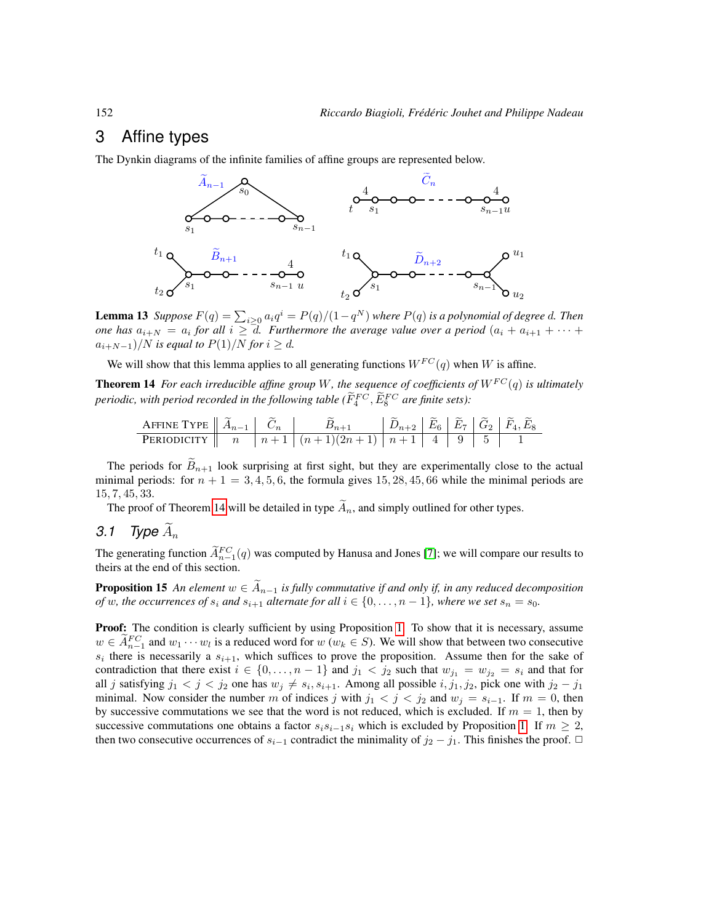## <span id="page-7-0"></span>3 Affine types

The Dynkin diagrams of the infinite families of affine groups are represented below.



<span id="page-7-4"></span>**Lemma 13** Suppose  $F(q) = \sum_{i \geq 0} a_i q^i = P(q)/(1-q^N)$  where  $P(q)$  is a polynomial of degree d. Then *one has*  $a_{i+N} = a_i$  for all  $i \ge d$ . Furthermore the average value over a period  $(a_i + a_{i+1} + \cdots + a_{i+n})$  $a_{i+N-1}$ )/N *is equal to*  $P(1)$ /N *for*  $i \ge d$ *.* 

We will show that this lemma applies to all generating functions  $W^{FC}(q)$  when W is affine.

<span id="page-7-1"></span>**Theorem 14** *For each irreducible affine group* W, the sequence of coefficients of  $W^{FC}(q)$  is ultimately periodic, with period recorded in the following table ( $\tilde{F}^{FC}_{4}$ ,  $\tilde{E}^{FC}_{8}$  are finite sets):

AFFINE TYPE Ae<sup>n</sup>−<sup>1</sup> Ce<sup>n</sup> Ben+1 Den+2 Ee<sup>6</sup> Ee<sup>7</sup> Ge<sup>2</sup> Fe4, Ee<sup>8</sup> PERIODICITY n n + 1 (n + 1)(2n + 1) n + 1 4 9 5 1

The periods for  $\widetilde{B}_{n+1}$  look surprising at first sight, but they are experimentally close to the actual minimal periods: for  $n + 1 = 3, 4, 5, 6$ , the formula gives 15, 28, 45, 66 while the minimal periods are 15, 7, 45, 33.

The proof of Theorem [14](#page-7-1) will be detailed in type  $\tilde{A}_n$ , and simply outlined for other types.

<span id="page-7-3"></span>3.1 Type 
$$
A_n
$$

The generating function  $\widetilde{A}_{n-1}^{FC}(q)$  was computed by Hanusa and Jones [\[7\]](#page-11-4); we will compare our results to theirs at the end of this section.

<span id="page-7-2"></span>**Proposition 15** *An element*  $w \in A_{n-1}$  *is fully commutative if and only if, in any reduced decomposition of* w, the occurrences of  $s_i$  and  $s_{i+1}$  alternate for all  $i \in \{0, \ldots, n-1\}$ , where we set  $s_n = s_0$ .

Proof: The condition is clearly sufficient by using Proposition [1.](#page-1-0) To show that it is necessary, assume  $w \in A_{n-1}^{FC}$  and  $w_1 \cdots w_l$  is a reduced word for  $w (w_k \in S)$ . We will show that between two consecutive  $s_i$  there is necessarily a  $s_{i+1}$ , which suffices to prove the proposition. Assume then for the sake of contradiction that there exist  $i \in \{0, \ldots, n-1\}$  and  $j_1 < j_2$  such that  $w_{j_1} = w_{j_2} = s_i$  and that for all j satisfying  $j_1 < j < j_2$  one has  $w_j \neq s_i, s_{i+1}$ . Among all possible  $i, j_1, j_2$ , pick one with  $j_2 - j_1$ minimal. Now consider the number m of indices j with  $j_1 < j < j_2$  and  $w_j = s_{i-1}$ . If  $m = 0$ , then by successive commutations we see that the word is not reduced, which is excluded. If  $m = 1$ , then by successive commutations one obtains a factor  $s_i s_{i-1} s_i$  which is excluded by Proposition [1.](#page-1-0) If  $m \geq 2$ , then two consecutive occurrences of  $s_{i-1}$  contradict the minimality of  $j_2 - j_1$ . This finishes the proof.  $\Box$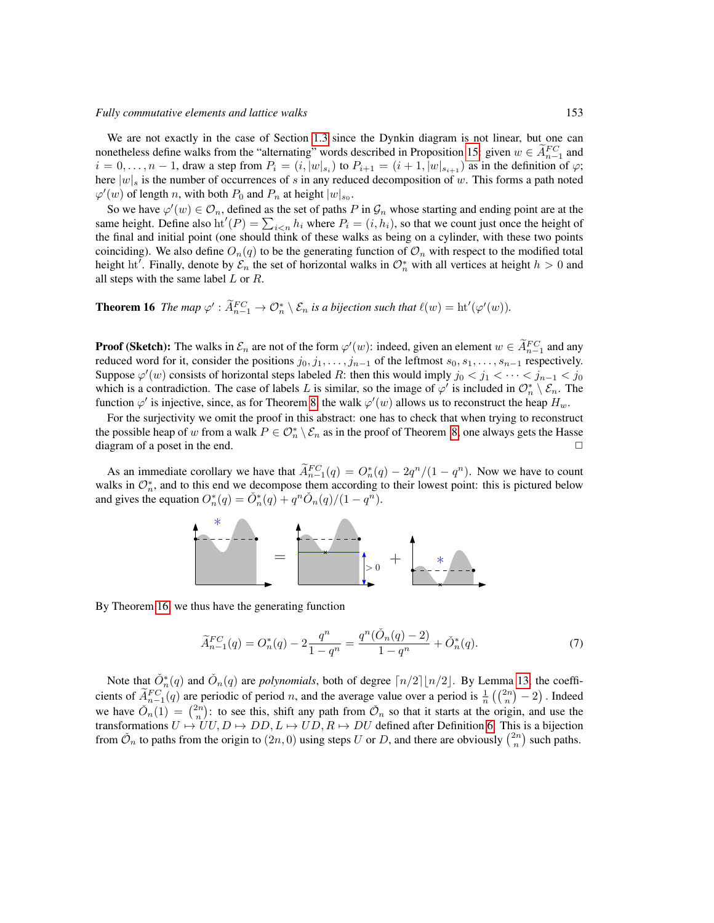We are not exactly in the case of Section [1.3](#page-2-2) since the Dynkin diagram is not linear, but one can nonetheless define walks from the "alternating" words described in Proposition [15:](#page-7-2) given  $w \in A_{n-1}^{FC}$  and nonement is define wanks from the antennating words described in Proposition 15, given  $w \in A_{n-1}$  and  $i = 0, ..., n-1$ , draw a step from  $P_i = (i, |w|_{s_i})$  to  $P_{i+1} = (i+1, |w|_{s_{i+1}})$  as in the definition of  $\varphi$ ; here  $|w|_s$  is the number of occurrences of s in any reduced decomposition of w. This forms a path noted  $\varphi'(w)$  of length n, with both  $P_0$  and  $P_n$  at height  $|w|_{s_0}$ .

So we have  $\varphi'(w) \in \mathcal{O}_n$ , defined as the set of paths P in  $\mathcal{G}_n$  whose starting and ending point are at the same height. Define also ht<sup> $l$ </sup>( $P$ ) =  $\sum_{i \le n} h_i$  where  $P_i = (i, h_i)$ , so that we count just once the height of the final and initial point (one should think of these walks as being on a cylinder, with these two points coinciding). We also define  $O_n(q)$  to be the generating function of  $O_n$  with respect to the modified total height ht'. Finally, denote by  $\mathcal{E}_n$  the set of horizontal walks in  $\mathcal{O}_n^*$  with all vertices at height  $h > 0$  and all steps with the same label  $L$  or  $R$ .

## <span id="page-8-0"></span>**Theorem 16** The map  $\varphi' : \widetilde{A}_{n-1}^{FC} \to \mathcal{O}_n^* \setminus \mathcal{E}_n$  is a bijection such that  $\ell(w) = \text{ht}'(\varphi'(w))$ .

**Proof (Sketch):** The walks in  $\mathcal{E}_n$  are not of the form  $\varphi'(w)$ : indeed, given an element  $w \in \widetilde{A}_{n-1}^{FC}$  and any reduced word for it, consider the positions  $j_0, j_1, \ldots, j_{n-1}$  of the leftmost  $s_0, s_1, \ldots, s_{n-1}$  respectively. Suppose  $\varphi'(w)$  consists of horizontal steps labeled R: then this would imply  $j_0 < j_1 < \cdots < j_{n-1} < j_0$ which is a contradiction. The case of labels L is similar, so the image of  $\varphi'$  is included in  $\mathcal{O}_n^* \setminus \mathcal{E}_n$ . The function  $\varphi'$  is injective, since, as for Theorem [8,](#page-4-1) the walk  $\varphi'(w)$  allows us to reconstruct the heap  $H_w$ .

For the surjectivity we omit the proof in this abstract: one has to check that when trying to reconstruct the possible heap of w from a walk  $P \in \mathcal{O}_n^* \setminus \mathcal{E}_n$  as in the proof of Theorem [8,](#page-4-1) one always gets the Hasse diagram of a poset in the end.  $\Box$ 

As an immediate corollary we have that  $\widetilde{A}_{n-1}^{FC}(q) = O_n^*(q) - 2q^n/(1-q^n)$ . Now we have to count walks in  $\mathcal{O}_n^*$ , and to this end we decompose them according to their lowest point: this is pictured below and gives the equation  $O_n^*(q) = \check{O}_n^*(q) + q^n \check{O}_n(q)/(1 - q^n)$ .



By Theorem [16,](#page-8-0) we thus have the generating function

<span id="page-8-1"></span>
$$
\widetilde{A}_{n-1}^{FC}(q) = O_n^*(q) - 2\frac{q^n}{1-q^n} = \frac{q^n(\check{O}_n(q) - 2)}{1-q^n} + \check{O}_n^*(q). \tag{7}
$$

Note that  $\tilde{O}_{n}^{*}(q)$  and  $\tilde{O}_{n}(q)$  are *polynomials*, both of degree  $\lceil n/2 \rceil \lfloor n/2 \rfloor$ . By Lemma [13,](#page-7-4) the coefficients of  $\tilde{A}_{n-1}^{FC}(q)$  are periodic of period n, and the average value over a period is  $\frac{1}{n} \left( \binom{2n}{n} - 2 \right)$ . Indeed we have  $\tilde{O}_n(1) = \binom{2n}{n}$ : to see this, shift any path from  $\tilde{O}_n$  so that it starts at the origin, and use the transformations  $U \mapsto UU$ ,  $D \mapsto DD$ ,  $L \mapsto UD$ ,  $R \mapsto DU$  defined after Definition [6.](#page-3-0) This is a bijection from  $\check{\mathcal{O}}_n$  to paths from the origin to  $(2n, 0)$  using steps U or D, and there are obviously  $\binom{2n}{n}$  such paths.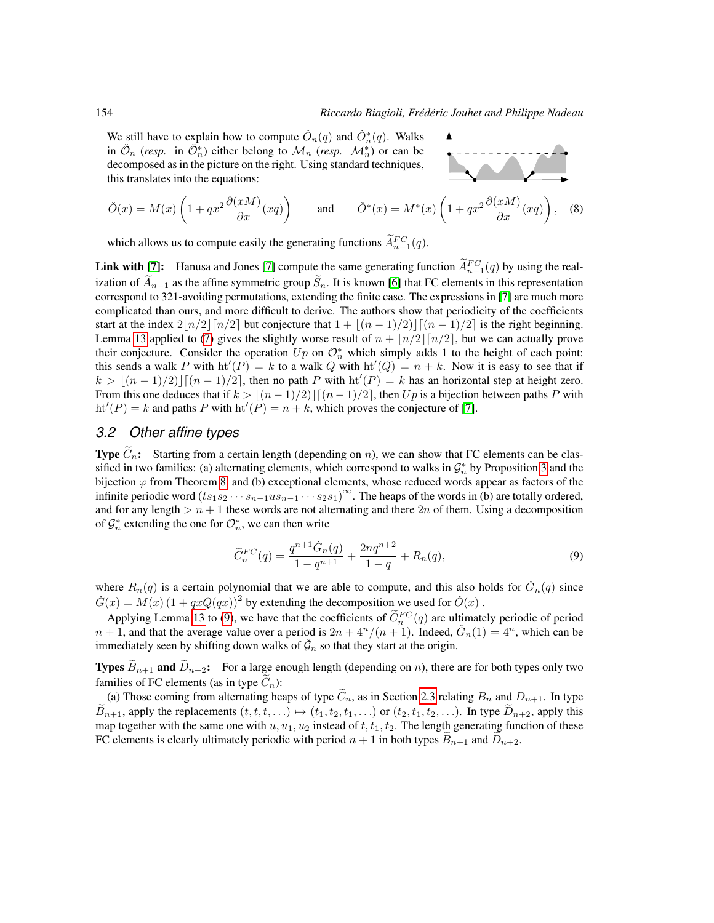We still have to explain how to compute  $\check{O}_n(q)$  and  $\check{O}_n^*(q)$ . Walks in  $\mathcal{O}_n$  (*resp.* in  $\mathcal{O}_n^*$ ) either belong to  $\mathcal{M}_n$  (*resp.*  $\mathcal{M}_n^*$ ) or can be decomposed as in the picture on the right. Using standard techniques, this translates into the equations:



$$
\check{O}(x) = M(x) \left( 1 + qx^2 \frac{\partial(xM)}{\partial x}(xq) \right) \quad \text{and} \quad \check{O}^*(x) = M^*(x) \left( 1 + qx^2 \frac{\partial(xM)}{\partial x}(xq) \right), \quad (8)
$$

which allows us to compute easily the generating functions  $\ddot{A}^{FC}_{n-1}(q)$ .

**Link with [\[7\]](#page-11-4):** Hanusa and Jones [7] compute the same generating function  $\widetilde{A}_{n-1}^{FC}(q)$  by using the realization of  $\widetilde{A}_{n-1}$  as the affine symmetric group  $\widetilde{S}_n$ . It is known [\[6\]](#page-11-10) that FC elements in this representation correspond to 321-avoiding permutations, extending the finite case. The expressions in [\[7\]](#page-11-4) are much more complicated than ours, and more difficult to derive. The authors show that periodicity of the coefficients start at the index  $2\lfloor n/2\rfloor \lceil n/2\rceil$  but conjecture that  $1 + \lfloor (n - 1)/2 \rfloor \lceil (n - 1)/2 \rceil$  is the right beginning. Lemma [13](#page-7-4) applied to [\(7\)](#page-8-1) gives the slightly worse result of  $n + \lfloor n/2 \rfloor \lceil n/2 \rceil$ , but we can actually prove their conjecture. Consider the operation  $Up$  on  $\mathcal{O}_n^*$  which simply adds 1 to the height of each point: this sends a walk P with  $ht'(P) = k$  to a walk Q with  $ht'(Q) = n + k$ . Now it is easy to see that if  $k > \lfloor (n-1)/2 \rfloor \lceil (n-1)/2 \rceil$ , then no path P with  $\mathrm{ht}'(P) = k$  has an horizontal step at height zero. From this one deduces that if  $k > |(n-1)/2|$   $[(n-1)/2]$ , then Up is a bijection between paths P with  $\mathrm{ht}'(P) = k$  and paths P with  $\mathrm{ht}'(P) = n + k$ , which proves the conjecture of [\[7\]](#page-11-4).

#### *3.2 Other affine types*

**Type**  $\tilde{C}_n$ : Starting from a certain length (depending on n), we can show that FC elements can be classified in two families: (a) alternating elements, which correspond to walks in  $\mathcal{G}_n^*$  by Proposition [3](#page-2-1) and the bijection  $\varphi$  from Theorem [8,](#page-4-1) and (b) exceptional elements, whose reduced words appear as factors of the infinite periodic word  $(ts_1s_2\cdots s_{n-1}us_{n-1}\cdots s_2s_1)^\infty$ . The heaps of the words in (b) are totally ordered, and for any length  $> n + 1$  these words are not alternating and there  $2n$  of them. Using a decomposition of  $\mathcal{G}_n^*$  extending the one for  $\mathcal{O}_n^*$ , we can then write

<span id="page-9-0"></span>
$$
\widetilde{C}_n^{FC}(q) = \frac{q^{n+1}\widetilde{G}_n(q)}{1 - q^{n+1}} + \frac{2nq^{n+2}}{1 - q} + R_n(q),\tag{9}
$$

where  $R_n(q)$  is a certain polynomial that we are able to compute, and this also holds for  $\check{G}_n(q)$  since  $\check{G}(x) = M(x) (1 + qxQ(qx))^2$  by extending the decomposition we used for  $\check{O}(x)$ .

Applying Lemma [13](#page-7-4) to [\(9\)](#page-9-0), we have that the coefficients of  $\tilde{C}_n^{FC}(q)$  are ultimately periodic of period  $n + 1$ , and that the average value over a period is  $2n + \frac{4^n}{(n+1)}$ . Indeed,  $\check{G}_n(1) = 4^n$ , which can be immediately seen by shifting down walks of  $\check{G}_n$  so that they start at the origin.

**Types**  $\widetilde{B}_{n+1}$  and  $\widetilde{D}_{n+2}$ : For a large enough length (depending on n), there are for both types only two families of FC elements (as in type  $\widetilde{C}_n$ ):

(a) Those coming from alternating heaps of type  $\tilde{C}_n$ , as in Section [2.3](#page-6-0) relating  $B_n$  and  $D_{n+1}$ . In type  $B_{n+1}$ , apply the replacements  $(t, t, t, \ldots) \mapsto (t_1, t_2, t_1, \ldots)$  or  $(t_2, t_1, t_2, \ldots)$ . In type  $D_{n+2}$ , apply this map together with the same one with  $u, u_1, u_2$  instead of  $t, t_1, t_2$ . The length generating function of these FC elements is clearly ultimately periodic with period  $n + 1$  in both types  $B_{n+1}$  and  $D_{n+2}$ .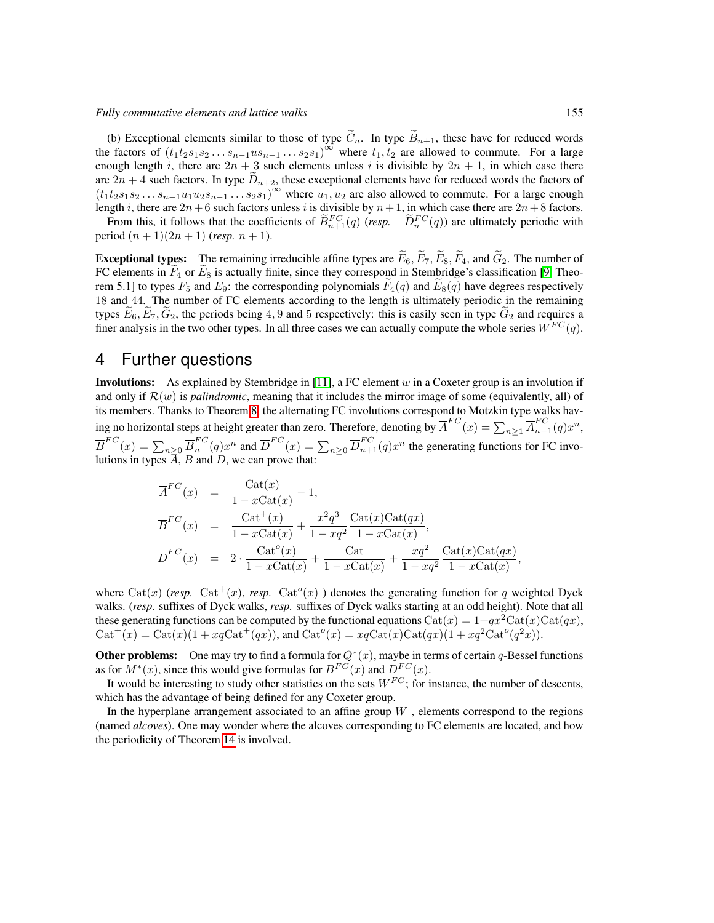(b) Exceptional elements similar to those of type  $\tilde{C}_n$ . In type  $\tilde{B}_{n+1}$ , these have for reduced words the factors of  $(t_1t_2s_1s_2...s_{n-1}us_{n-1}...s_2s_1)^\infty$  where  $t_1, t_2$  are allowed to commute. For a large enough length i, there are  $2n + 3$  such elements unless i is divisible by  $2n + 1$ , in which case there are  $2n + 4$  such factors. In type  $\widetilde{D}_{n+2}$ , these exceptional elements have for reduced words the factors of  $(t_1t_2s_1s_2 \ldots s_{n-1}u_1u_2s_{n-1} \ldots s_2s_1)^\infty$  where  $u_1, u_2$  are also allowed to commute. For a large enough length i, there are  $2n+6$  such factors unless i is divisible by  $n+1$ , in which case there are  $2n+8$  factors.

From this, it follows that the coefficients of  $\tilde{B}_{n+1}^{FC}(q)$  (*resp.*  $\tilde{D}_n^{FC}(q)$ ) are ultimately periodic with period  $(n + 1)(2n + 1)$  (*resp.*  $n + 1$ ).

**Exceptional types:** The remaining irreducible affine types are  $\tilde{E}_6$ ,  $\tilde{E}_7$ ,  $\tilde{E}_8$ ,  $\tilde{F}_4$ , and  $\tilde{G}_2$ . The number of FC elements in  $F_4$  or  $E_8$  is actually finite, since they correspond in Stembridge's classification [\[9,](#page-11-0) Theorem 5.1] to types  $F_5$  and  $E_9$ : the corresponding polynomials  $F_4(q)$  and  $E_8(q)$  have degrees respectively 18 and 44. The number of FC elements according to the length is ultimately periodic in the remaining types  $E_6$ ,  $E_7$ ,  $G_2$ , the periods being 4, 9 and 5 respectively: this is easily seen in type  $G_2$  and requires a finer analysis in the two other types. In all three cases we can actually compute the whole series  $W^{FC}(q)$ .

## 4 Further questions

**Involutions:** As explained by Stembridge in [\[11\]](#page-11-2), a FC element  $w$  in a Coxeter group is an involution if and only if  $\mathcal{R}(w)$  is *palindromic*, meaning that it includes the mirror image of some (equivalently, all) of its members. Thanks to Theorem [8,](#page-4-1) the alternating FC involutions correspond to Motzkin type walks having no horizontal steps at height greater than zero. Therefore, denoting by  $\overline{A}^{FC}(x) = \sum_{n \geq 1} \overline{A}_{n}^{FC}$  $_{n-1}^{r}$  $(q)x^{n}$ ,  $\overline{B}^{FC}(x) = \sum_{n \geq 0} \overline{B}_n^{FC}$  ${}_{n}^{FC}(q)x^n$  and  $\overline{D}^{FC}(x) = \sum_{n\geq 0} \overline{D}_{n+1}^{FC}(q)x^n$  the generating functions for FC involutions in types  $\overline{A}$ ,  $B$  and  $D$ , we can prove that:

$$
\overline{A}^{FC}(x) = \frac{\text{Cat}(x)}{1 - x\text{Cat}(x)} - 1,
$$
\n
$$
\overline{B}^{FC}(x) = \frac{\text{Cat}^+(x)}{1 - x\text{Cat}(x)} + \frac{x^2 q^3}{1 - xq^2} \frac{\text{Cat}(x)\text{Cat}(qx)}{1 - x\text{Cat}(x)},
$$
\n
$$
\overline{D}^{FC}(x) = 2 \cdot \frac{\text{Cat}^o(x)}{1 - x\text{Cat}(x)} + \frac{\text{Cat}}{1 - x\text{Cat}(x)} + \frac{xq^2}{1 - xq^2} \frac{\text{Cat}(x)\text{Cat}(qx)}{1 - x\text{Cat}(x)},
$$

where Cat(x) (*resp.* Cat<sup>+</sup>(x), *resp.* Cat<sup>o</sup>(x) ) denotes the generating function for q weighted Dyck walks. (*resp.* suffixes of Dyck walks, *resp.* suffixes of Dyck walks starting at an odd height). Note that all these generating functions can be computed by the functional equations  $\text{Cat}(x) = 1+qx^2\text{Cat}(x)\text{Cat}(qx)$ ,  $\text{Cat}^+(x) = \text{Cat}(x)(1 + xq\text{Cat}^+(qx))$ , and  $\text{Cat}^o(x) = xq\text{Cat}(x)\text{Cat}(qx)(1 + xq^2\text{Cat}^o(q^2x)).$ 

**Other problems:** One may try to find a formula for  $Q^*(x)$ , maybe in terms of certain q-Bessel functions as for  $M^*(x)$ , since this would give formulas for  $B^{FC}(x)$  and  $D^{FC}(x)$ .

It would be interesting to study other statistics on the sets  $W^{FC}$ ; for instance, the number of descents, which has the advantage of being defined for any Coxeter group.

In the hyperplane arrangement associated to an affine group  $W$ , elements correspond to the regions (named *alcoves*). One may wonder where the alcoves corresponding to FC elements are located, and how the periodicity of Theorem [14](#page-7-1) is involved.